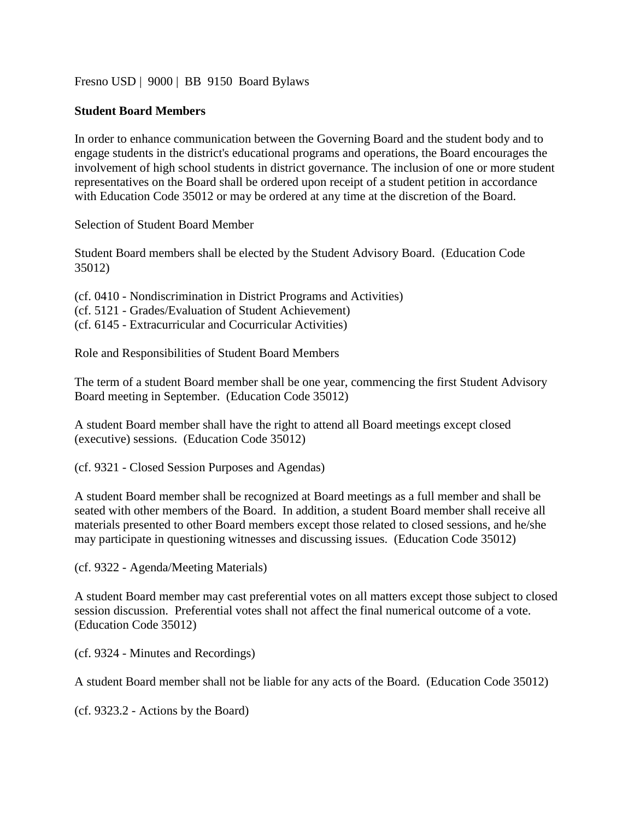[Fresno USD](http://www.fresnounified.org/board/policies/Policies/fusd/loaddistrictpolicy/1050.htm) | [9000](http://www.fresnounified.org/board/policies/Policies/fusd/policycategorylist/1050/9.htm) | BB 9150 Board Bylaws

## **Student Board Members**

In order to enhance communication between the Governing Board and the student body and to engage students in the district's educational programs and operations, the Board encourages the involvement of high school students in district governance. The inclusion of one or more student representatives on the Board shall be ordered upon receipt of a student petition in accordance with Education Code 35012 or may be ordered at any time at the discretion of the Board.

Selection of Student Board Member

Student Board members shall be elected by the Student Advisory Board. (Education Code 35012)

(cf. 0410 - Nondiscrimination in District Programs and Activities)

- (cf. 5121 Grades/Evaluation of Student Achievement)
- (cf. 6145 Extracurricular and Cocurricular Activities)

Role and Responsibilities of Student Board Members

The term of a student Board member shall be one year, commencing the first Student Advisory Board meeting in September. (Education Code 35012)

A student Board member shall have the right to attend all Board meetings except closed (executive) sessions. (Education Code 35012)

(cf. 9321 - Closed Session Purposes and Agendas)

A student Board member shall be recognized at Board meetings as a full member and shall be seated with other members of the Board. In addition, a student Board member shall receive all materials presented to other Board members except those related to closed sessions, and he/she may participate in questioning witnesses and discussing issues. (Education Code 35012)

(cf. 9322 - Agenda/Meeting Materials)

A student Board member may cast preferential votes on all matters except those subject to closed session discussion. Preferential votes shall not affect the final numerical outcome of a vote. (Education Code 35012)

(cf. 9324 - Minutes and Recordings)

A student Board member shall not be liable for any acts of the Board. (Education Code 35012)

(cf. 9323.2 - Actions by the Board)